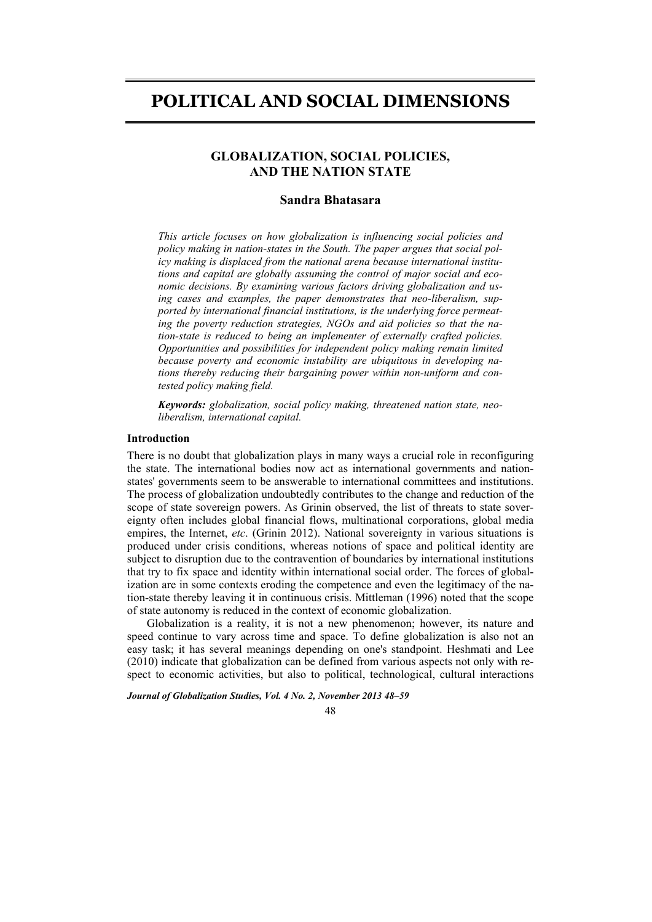# **POLITICAL AND SOCIAL DIMENSIONS**

# **GLOBALIZATION, SOCIAL POLICIES, AND THE NATION STATE**

# **Sandra Bhatasara**

*This article focuses on how globalization is influencing social policies and policy making in nation-states in the South. The paper argues that social policy making is displaced from the national arena because international institutions and capital are globally assuming the control of major social and economic decisions. By examining various factors driving globalization and using cases and examples, the paper demonstrates that neo-liberalism, supported by international financial institutions, is the underlying force permeating the poverty reduction strategies, NGOs and aid policies so that the nation-state is reduced to being an implementer of externally crafted policies. Opportunities and possibilities for independent policy making remain limited because poverty and economic instability are ubiquitous in developing nations thereby reducing their bargaining power within non-uniform and contested policy making field.* 

*Keywords: globalization, social policy making, threatened nation state, neoliberalism, international capital.* 

## **Introduction**

There is no doubt that globalization plays in many ways a crucial role in reconfiguring the state. The international bodies now act as international governments and nationstates' governments seem to be answerable to international committees and institutions. The process of globalization undoubtedly contributes to the change and reduction of the scope of state sovereign powers. As Grinin observed, the list of threats to state sovereignty often includes global financial flows, multinational corporations, global media empires, the Internet, *etc*. (Grinin 2012). National sovereignty in various situations is produced under crisis conditions, whereas notions of space and political identity are subject to disruption due to the contravention of boundaries by international institutions that try to fix space and identity within international social order. The forces of globalization are in some contexts eroding the competence and even the legitimacy of the nation-state thereby leaving it in continuous crisis. Mittleman (1996) noted that the scope of state autonomy is reduced in the context of economic globalization.

Globalization is a reality, it is not a new phenomenon; however, its nature and speed continue to vary across time and space. To define globalization is also not an easy task; it has several meanings depending on one's standpoint. Heshmati and Lee (2010) indicate that globalization can be defined from various aspects not only with respect to economic activities, but also to political, technological, cultural interactions

*Journal of Globalization Studies, Vol. 4 No. 2, November 2013 48–59* 

48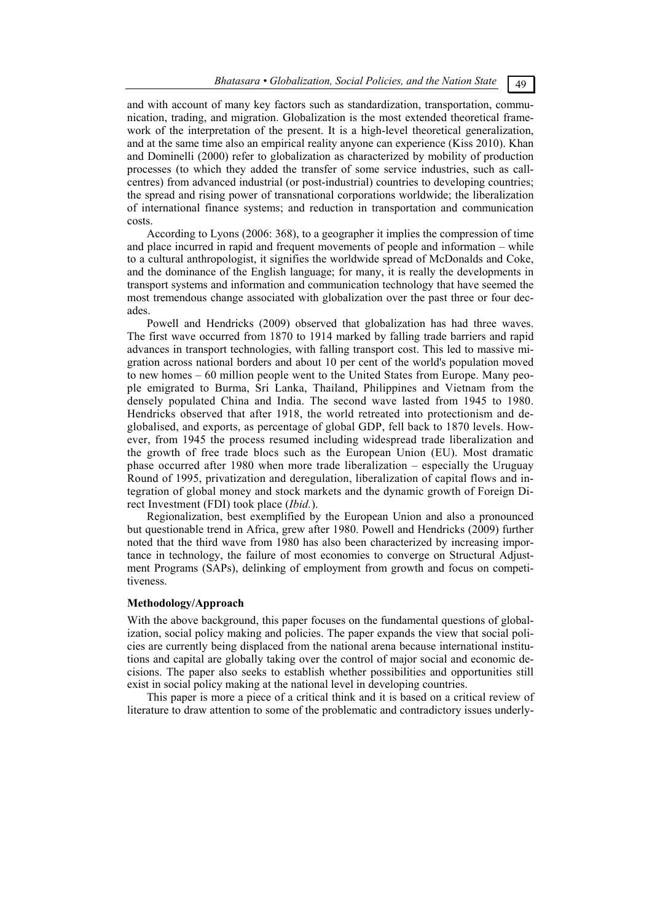and with account of many key factors such as standardization, transportation, communication, trading, and migration. Globalization is the most extended theoretical framework of the interpretation of the present. It is a high-level theoretical generalization, and at the same time also an empirical reality anyone can experience (Kiss 2010). Khan and Dominelli (2000) refer to globalization as characterized by mobility of production processes (to which they added the transfer of some service industries, such as callcentres) from advanced industrial (or post-industrial) countries to developing countries; the spread and rising power of transnational corporations worldwide; the liberalization of international finance systems; and reduction in transportation and communication costs.

According to Lyons (2006: 368), to a geographer it implies the compression of time and place incurred in rapid and frequent movements of people and information – while to a cultural anthropologist, it signifies the worldwide spread of McDonalds and Coke, and the dominance of the English language; for many, it is really the developments in transport systems and information and communication technology that have seemed the most tremendous change associated with globalization over the past three or four decades.

Powell and Hendricks (2009) observed that globalization has had three waves. The first wave occurred from 1870 to 1914 marked by falling trade barriers and rapid advances in transport technologies, with falling transport cost. This led to massive migration across national borders and about 10 per cent of the world's population moved to new homes – 60 million people went to the United States from Europe. Many people emigrated to Burma, Sri Lanka, Thailand, Philippines and Vietnam from the densely populated China and India. The second wave lasted from 1945 to 1980. Hendricks observed that after 1918, the world retreated into protectionism and deglobalised, and exports, as percentage of global GDP, fell back to 1870 levels. However, from 1945 the process resumed including widespread trade liberalization and the growth of free trade blocs such as the European Union (EU). Most dramatic phase occurred after 1980 when more trade liberalization – especially the Uruguay Round of 1995, privatization and deregulation, liberalization of capital flows and integration of global money and stock markets and the dynamic growth of Foreign Direct Investment (FDI) took place (*Ibid.*).

Regionalization, best exemplified by the European Union and also a pronounced but questionable trend in Africa, grew after 1980. Powell and Hendricks (2009) further noted that the third wave from 1980 has also been characterized by increasing importance in technology, the failure of most economies to converge on Structural Adjustment Programs (SAPs), delinking of employment from growth and focus on competitiveness.

### **Methodology/Approach**

With the above background, this paper focuses on the fundamental questions of globalization, social policy making and policies. The paper expands the view that social policies are currently being displaced from the national arena because international institutions and capital are globally taking over the control of major social and economic decisions. The paper also seeks to establish whether possibilities and opportunities still exist in social policy making at the national level in developing countries.

This paper is more a piece of a critical think and it is based on a critical review of literature to draw attention to some of the problematic and contradictory issues underly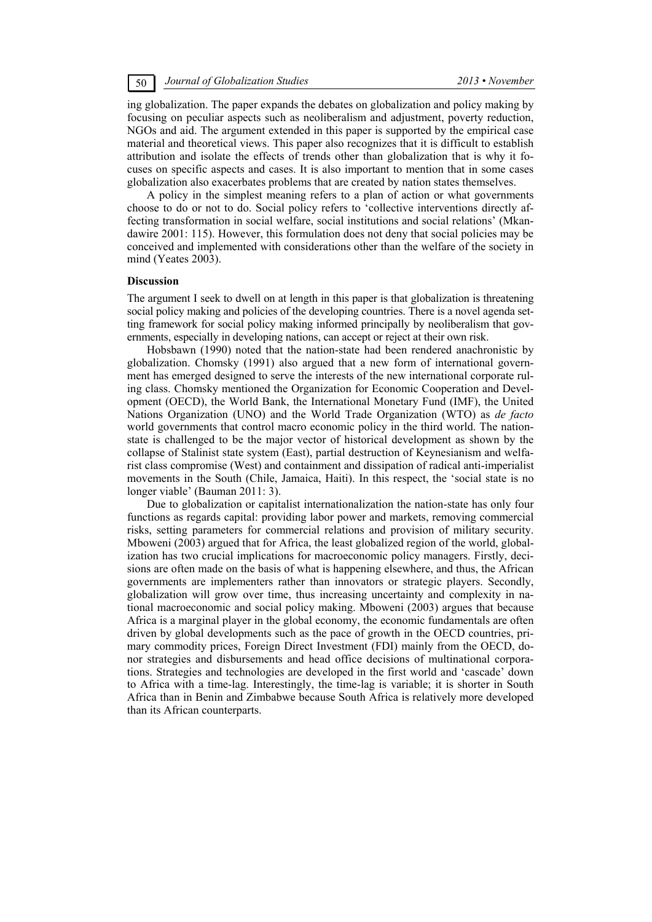ing globalization. The paper expands the debates on globalization and policy making by focusing on peculiar aspects such as neoliberalism and adjustment, poverty reduction, NGOs and aid. The argument extended in this paper is supported by the empirical case material and theoretical views. This paper also recognizes that it is difficult to establish attribution and isolate the effects of trends other than globalization that is why it focuses on specific aspects and cases. It is also important to mention that in some cases globalization also exacerbates problems that are created by nation states themselves.

A policy in the simplest meaning refers to a plan of action or what governments choose to do or not to do. Social policy refers to 'collective interventions directly affecting transformation in social welfare, social institutions and social relations' (Mkandawire 2001: 115). However, this formulation does not deny that social policies may be conceived and implemented with considerations other than the welfare of the society in mind (Yeates 2003).

### **Discussion**

The argument I seek to dwell on at length in this paper is that globalization is threatening social policy making and policies of the developing countries. There is a novel agenda setting framework for social policy making informed principally by neoliberalism that governments, especially in developing nations, can accept or reject at their own risk.

Hobsbawn (1990) noted that the nation-state had been rendered anachronistic by globalization. Chomsky (1991) also argued that a new form of international government has emerged designed to serve the interests of the new international corporate ruling class. Chomsky mentioned the Organization for Economic Cooperation and Development (OECD), the World Bank, the International Monetary Fund (IMF), the United Nations Organization (UNO) and the World Trade Organization (WTO) as *de facto* world governments that control macro economic policy in the third world. The nationstate is challenged to be the major vector of historical development as shown by the collapse of Stalinist state system (East), partial destruction of Keynesianism and welfarist class compromise (West) and containment and dissipation of radical anti-imperialist movements in the South (Chile, Jamaica, Haiti). In this respect, the 'social state is no longer viable' (Bauman 2011: 3).

Due to globalization or capitalist internationalization the nation-state has only four functions as regards capital: providing labor power and markets, removing commercial risks, setting parameters for commercial relations and provision of military security. Mboweni (2003) argued that for Africa, the least globalized region of the world, globalization has two crucial implications for macroeconomic policy managers. Firstly, decisions are often made on the basis of what is happening elsewhere, and thus, the African governments are implementers rather than innovators or strategic players. Secondly, globalization will grow over time, thus increasing uncertainty and complexity in national macroeconomic and social policy making. Mboweni (2003) argues that because Africa is a marginal player in the global economy, the economic fundamentals are often driven by global developments such as the pace of growth in the OECD countries, primary commodity prices, Foreign Direct Investment (FDI) mainly from the OECD, donor strategies and disbursements and head office decisions of multinational corporations. Strategies and technologies are developed in the first world and 'cascade' down to Africa with a time-lag. Interestingly, the time-lag is variable; it is shorter in South Africa than in Benin and Zimbabwe because South Africa is relatively more developed than its African counterparts.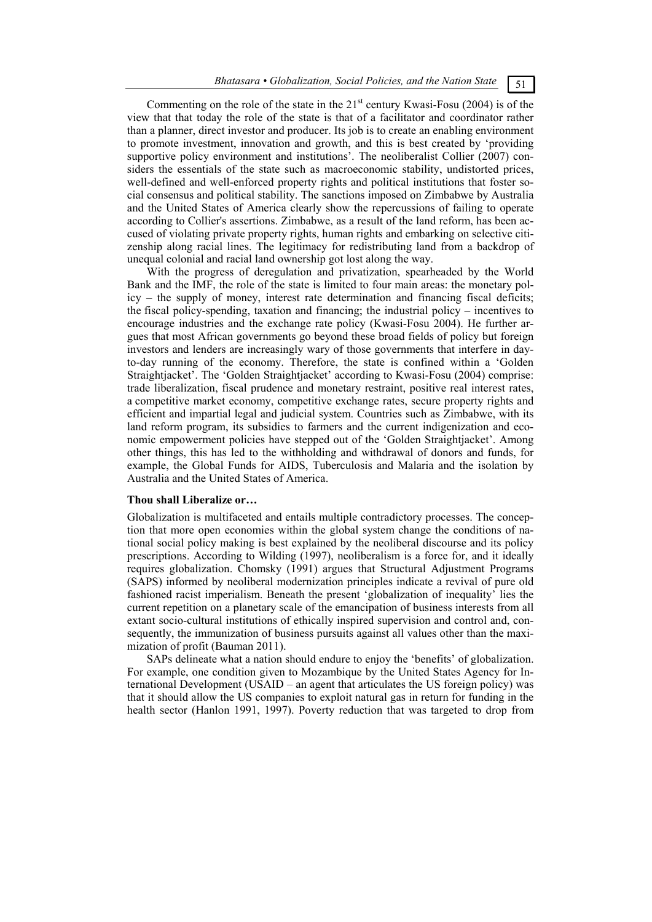Commenting on the role of the state in the  $21<sup>st</sup>$  century Kwasi-Fosu (2004) is of the view that that today the role of the state is that of a facilitator and coordinator rather than a planner, direct investor and producer. Its job is to create an enabling environment to promote investment, innovation and growth, and this is best created by 'providing supportive policy environment and institutions'. The neoliberalist Collier (2007) considers the essentials of the state such as macroeconomic stability, undistorted prices, well-defined and well-enforced property rights and political institutions that foster social consensus and political stability. The sanctions imposed on Zimbabwe by Australia and the United States of America clearly show the repercussions of failing to operate according to Collier's assertions. Zimbabwe, as a result of the land reform, has been accused of violating private property rights, human rights and embarking on selective citizenship along racial lines. The legitimacy for redistributing land from a backdrop of unequal colonial and racial land ownership got lost along the way.

With the progress of deregulation and privatization, spearheaded by the World Bank and the IMF, the role of the state is limited to four main areas: the monetary policy – the supply of money, interest rate determination and financing fiscal deficits; the fiscal policy-spending, taxation and financing; the industrial policy – incentives to encourage industries and the exchange rate policy (Kwasi-Fosu 2004). He further argues that most African governments go beyond these broad fields of policy but foreign investors and lenders are increasingly wary of those governments that interfere in dayto-day running of the economy. Therefore, the state is confined within a 'Golden Straightjacket'. The 'Golden Straightjacket' according to Kwasi-Fosu (2004) comprise: trade liberalization, fiscal prudence and monetary restraint, positive real interest rates, a competitive market economy, competitive exchange rates, secure property rights and efficient and impartial legal and judicial system. Countries such as Zimbabwe, with its land reform program, its subsidies to farmers and the current indigenization and economic empowerment policies have stepped out of the 'Golden Straightjacket'. Among other things, this has led to the withholding and withdrawal of donors and funds, for example, the Global Funds for AIDS, Tuberculosis and Malaria and the isolation by Australia and the United States of America.

#### **Thou shall Liberalize or…**

Globalization is multifaceted and entails multiple contradictory processes. The conception that more open economies within the global system change the conditions of national social policy making is best explained by the neoliberal discourse and its policy prescriptions. According to Wilding (1997), neoliberalism is a force for, and it ideally requires globalization. Chomsky (1991) argues that Structural Adjustment Programs (SAPS) informed by neoliberal modernization principles indicate a revival of pure old fashioned racist imperialism. Beneath the present 'globalization of inequality' lies the current repetition on a planetary scale of the emancipation of business interests from all extant socio-cultural institutions of ethically inspired supervision and control and, consequently, the immunization of business pursuits against all values other than the maximization of profit (Bauman 2011).

SAPs delineate what a nation should endure to enjoy the 'benefits' of globalization. For example, one condition given to Mozambique by the United States Agency for International Development (USAID – an agent that articulates the US foreign policy) was that it should allow the US companies to exploit natural gas in return for funding in the health sector (Hanlon 1991, 1997). Poverty reduction that was targeted to drop from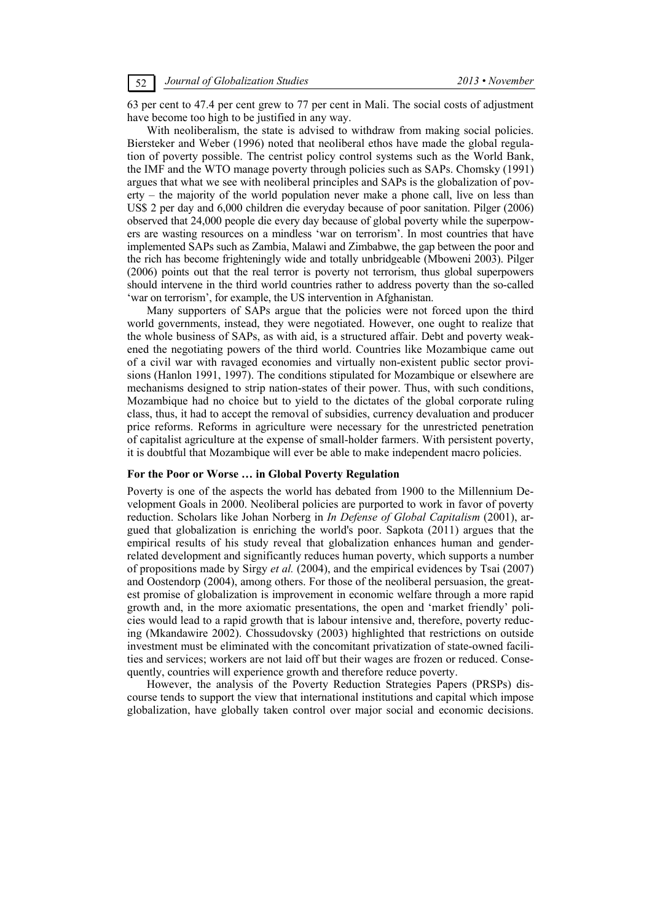63 per cent to 47.4 per cent grew to 77 per cent in Mali. The social costs of adjustment have become too high to be justified in any way.

With neoliberalism, the state is advised to withdraw from making social policies. Biersteker and Weber (1996) noted that neoliberal ethos have made the global regulation of poverty possible. The centrist policy control systems such as the World Bank, the IMF and the WTO manage poverty through policies such as SAPs. Chomsky (1991) argues that what we see with neoliberal principles and SAPs is the globalization of poverty – the majority of the world population never make a phone call, live on less than US\$ 2 per day and 6,000 children die everyday because of poor sanitation. Pilger (2006) observed that 24,000 people die every day because of global poverty while the superpowers are wasting resources on a mindless 'war on terrorism'. In most countries that have implemented SAPs such as Zambia, Malawi and Zimbabwe, the gap between the poor and the rich has become frighteningly wide and totally unbridgeable (Mboweni 2003). Pilger (2006) points out that the real terror is poverty not terrorism, thus global superpowers should intervene in the third world countries rather to address poverty than the so-called 'war on terrorism', for example, the US intervention in Afghanistan.

Many supporters of SAPs argue that the policies were not forced upon the third world governments, instead, they were negotiated. However, one ought to realize that the whole business of SAPs, as with aid, is a structured affair. Debt and poverty weakened the negotiating powers of the third world. Countries like Mozambique came out of a civil war with ravaged economies and virtually non-existent public sector provisions (Hanlon 1991, 1997). The conditions stipulated for Mozambique or elsewhere are mechanisms designed to strip nation-states of their power. Thus, with such conditions, Mozambique had no choice but to yield to the dictates of the global corporate ruling class, thus, it had to accept the removal of subsidies, currency devaluation and producer price reforms. Reforms in agriculture were necessary for the unrestricted penetration of capitalist agriculture at the expense of small-holder farmers. With persistent poverty, it is doubtful that Mozambique will ever be able to make independent macro policies.

# **For the Poor or Worse … in Global Poverty Regulation**

Poverty is one of the aspects the world has debated from 1900 to the Millennium Development Goals in 2000. Neoliberal policies are purported to work in favor of poverty reduction. Scholars like Johan Norberg in *In Defense of Global Capitalism* (2001), argued that globalization is enriching the world's poor. Sapkota (2011) argues that the empirical results of his study reveal that globalization enhances human and genderrelated development and significantly reduces human poverty, which supports a number of propositions made by Sirgy *et al.* (2004), and the empirical evidences by Tsai (2007) and Oostendorp (2004), among others. For those of the neoliberal persuasion, the greatest promise of globalization is improvement in economic welfare through a more rapid growth and, in the more axiomatic presentations, the open and 'market friendly' policies would lead to a rapid growth that is labour intensive and, therefore, poverty reducing (Mkandawire 2002). Chossudovsky (2003) highlighted that restrictions on outside investment must be eliminated with the concomitant privatization of state-owned facilities and services; workers are not laid off but their wages are frozen or reduced. Consequently, countries will experience growth and therefore reduce poverty.

However, the analysis of the Poverty Reduction Strategies Papers (PRSPs) discourse tends to support the view that international institutions and capital which impose globalization, have globally taken control over major social and economic decisions.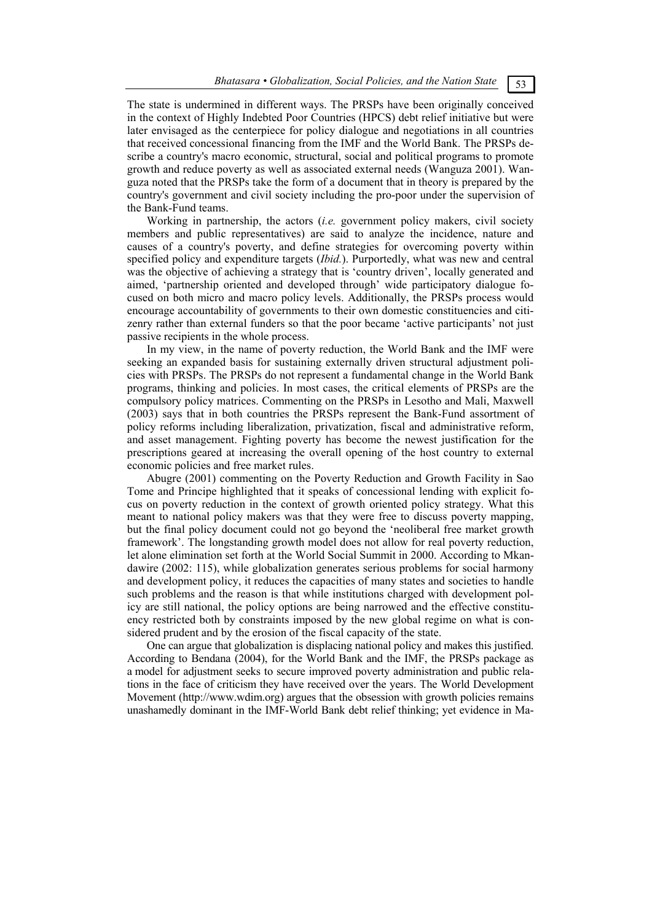# The state is undermined in different ways. The PRSPs have been originally conceived in the context of Highly Indebted Poor Countries (HPCS) debt relief initiative but were later envisaged as the centerpiece for policy dialogue and negotiations in all countries that received concessional financing from the IMF and the World Bank. The PRSPs describe a country's macro economic, structural, social and political programs to promote growth and reduce poverty as well as associated external needs (Wanguza 2001). Wanguza noted that the PRSPs take the form of a document that in theory is prepared by the country's government and civil society including the pro-poor under the supervision of the Bank-Fund teams.

Working in partnership, the actors (*i.e.* government policy makers, civil society members and public representatives) are said to analyze the incidence, nature and causes of a country's poverty, and define strategies for overcoming poverty within specified policy and expenditure targets (*Ibid.*). Purportedly, what was new and central was the objective of achieving a strategy that is 'country driven', locally generated and aimed, 'partnership oriented and developed through' wide participatory dialogue focused on both micro and macro policy levels. Additionally, the PRSPs process would encourage accountability of governments to their own domestic constituencies and citizenry rather than external funders so that the poor became 'active participants' not just passive recipients in the whole process.

In my view, in the name of poverty reduction, the World Bank and the IMF were seeking an expanded basis for sustaining externally driven structural adjustment policies with PRSPs. The PRSPs do not represent a fundamental change in the World Bank programs, thinking and policies. In most cases, the critical elements of PRSPs are the compulsory policy matrices. Commenting on the PRSPs in Lesotho and Mali, Maxwell (2003) says that in both countries the PRSPs represent the Bank-Fund assortment of policy reforms including liberalization, privatization, fiscal and administrative reform, and asset management. Fighting poverty has become the newest justification for the prescriptions geared at increasing the overall opening of the host country to external economic policies and free market rules.

Abugre (2001) commenting on the Poverty Reduction and Growth Facility in Sao Tome and Principe highlighted that it speaks of concessional lending with explicit focus on poverty reduction in the context of growth oriented policy strategy. What this meant to national policy makers was that they were free to discuss poverty mapping, but the final policy document could not go beyond the 'neoliberal free market growth framework'. The longstanding growth model does not allow for real poverty reduction, let alone elimination set forth at the World Social Summit in 2000. According to Mkandawire (2002: 115), while globalization generates serious problems for social harmony and development policy, it reduces the capacities of many states and societies to handle such problems and the reason is that while institutions charged with development policy are still national, the policy options are being narrowed and the effective constituency restricted both by constraints imposed by the new global regime on what is considered prudent and by the erosion of the fiscal capacity of the state.

One can argue that globalization is displacing national policy and makes this justified. According to Bendana (2004), for the World Bank and the IMF, the PRSPs package as a model for adjustment seeks to secure improved poverty administration and public relations in the face of criticism they have received over the years. The World Development Movement (http://www.wdim.org) argues that the obsession with growth policies remains unashamedly dominant in the IMF-World Bank debt relief thinking; yet evidence in Ma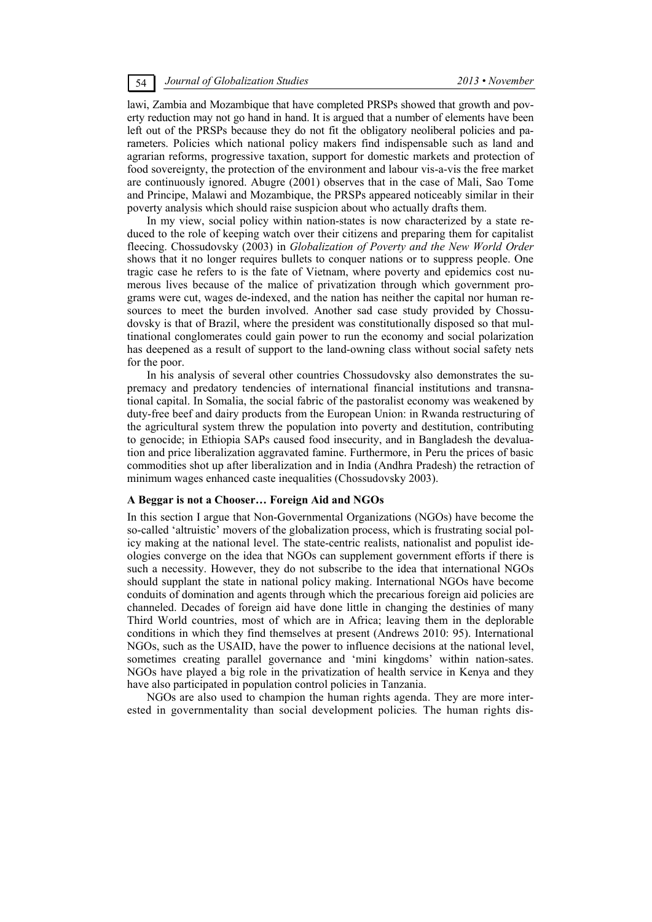lawi, Zambia and Mozambique that have completed PRSPs showed that growth and poverty reduction may not go hand in hand. It is argued that a number of elements have been left out of the PRSPs because they do not fit the obligatory neoliberal policies and parameters. Policies which national policy makers find indispensable such as land and agrarian reforms, progressive taxation, support for domestic markets and protection of food sovereignty, the protection of the environment and labour vis-a-vis the free market are continuously ignored. Abugre (2001) observes that in the case of Mali, Sao Tome and Principe, Malawi and Mozambique, the PRSPs appeared noticeably similar in their poverty analysis which should raise suspicion about who actually drafts them.

In my view, social policy within nation-states is now characterized by a state reduced to the role of keeping watch over their citizens and preparing them for capitalist fleecing. Chossudovsky (2003) in *Globalization of Poverty and the New World Order* shows that it no longer requires bullets to conquer nations or to suppress people. One tragic case he refers to is the fate of Vietnam, where poverty and epidemics cost numerous lives because of the malice of privatization through which government programs were cut, wages de-indexed, and the nation has neither the capital nor human resources to meet the burden involved. Another sad case study provided by Chossudovsky is that of Brazil, where the president was constitutionally disposed so that multinational conglomerates could gain power to run the economy and social polarization has deepened as a result of support to the land-owning class without social safety nets for the poor.

In his analysis of several other countries Chossudovsky also demonstrates the supremacy and predatory tendencies of international financial institutions and transnational capital. In Somalia, the social fabric of the pastoralist economy was weakened by duty-free beef and dairy products from the European Union: in Rwanda restructuring of the agricultural system threw the population into poverty and destitution, contributing to genocide; in Ethiopia SAPs caused food insecurity, and in Bangladesh the devaluation and price liberalization aggravated famine. Furthermore, in Peru the prices of basic commodities shot up after liberalization and in India (Andhra Pradesh) the retraction of minimum wages enhanced caste inequalities (Chossudovsky 2003).

### **A Beggar is not a Chooser… Foreign Aid and NGOs**

In this section I argue that Non-Governmental Organizations (NGOs) have become the so-called 'altruistic' movers of the globalization process, which is frustrating social policy making at the national level. The state-centric realists, nationalist and populist ideologies converge on the idea that NGOs can supplement government efforts if there is such a necessity. However, they do not subscribe to the idea that international NGOs should supplant the state in national policy making. International NGOs have become conduits of domination and agents through which the precarious foreign aid policies are channeled. Decades of foreign aid have done little in changing the destinies of many Third World countries, most of which are in Africa; leaving them in the deplorable conditions in which they find themselves at present (Andrews 2010: 95). International NGOs, such as the USAID, have the power to influence decisions at the national level, sometimes creating parallel governance and 'mini kingdoms' within nation-sates. NGOs have played a big role in the privatization of health service in Kenya and they have also participated in population control policies in Tanzania.

NGOs are also used to champion the human rights agenda. They are more interested in governmentality than social development policies*.* The human rights dis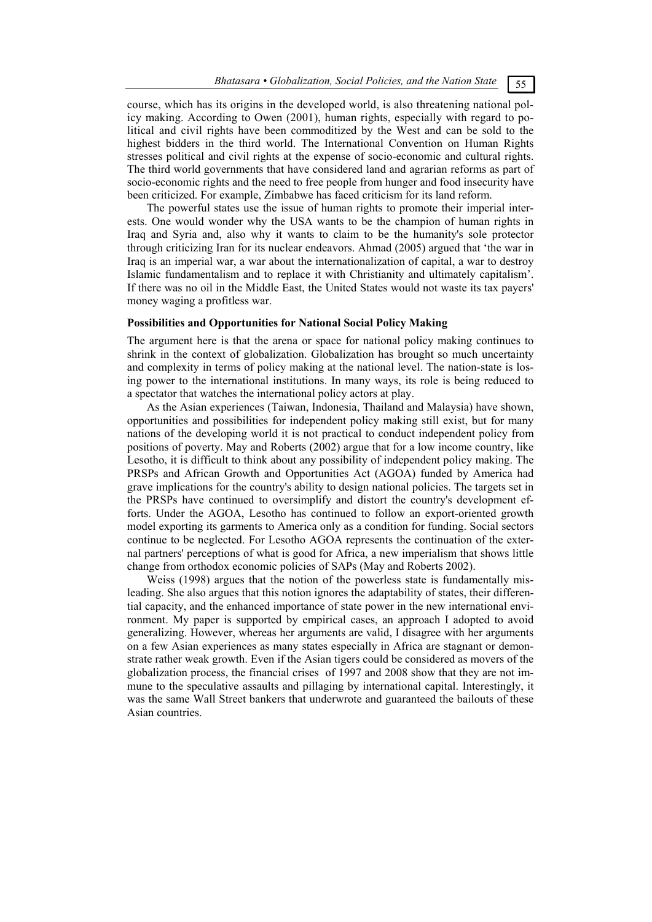*Bhatasara • Globalization, Social Policies, and the Nation State* 55

course, which has its origins in the developed world, is also threatening national policy making. According to Owen (2001), human rights, especially with regard to political and civil rights have been commoditized by the West and can be sold to the highest bidders in the third world. The International Convention on Human Rights stresses political and civil rights at the expense of socio-economic and cultural rights. The third world governments that have considered land and agrarian reforms as part of socio-economic rights and the need to free people from hunger and food insecurity have been criticized. For example, Zimbabwe has faced criticism for its land reform.

The powerful states use the issue of human rights to promote their imperial interests. One would wonder why the USA wants to be the champion of human rights in Iraq and Syria and, also why it wants to claim to be the humanity's sole protector through criticizing Iran for its nuclear endeavors. Ahmad (2005) argued that 'the war in Iraq is an imperial war, a war about the internationalization of capital, a war to destroy Islamic fundamentalism and to replace it with Christianity and ultimately capitalism'. If there was no oil in the Middle East, the United States would not waste its tax payers' money waging a profitless war.

# **Possibilities and Opportunities for National Social Policy Making**

The argument here is that the arena or space for national policy making continues to shrink in the context of globalization. Globalization has brought so much uncertainty and complexity in terms of policy making at the national level. The nation-state is losing power to the international institutions. In many ways, its role is being reduced to a spectator that watches the international policy actors at play.

As the Asian experiences (Taiwan, Indonesia, Thailand and Malaysia) have shown, opportunities and possibilities for independent policy making still exist, but for many nations of the developing world it is not practical to conduct independent policy from positions of poverty. May and Roberts (2002) argue that for a low income country, like Lesotho, it is difficult to think about any possibility of independent policy making. The PRSPs and African Growth and Opportunities Act (AGOA) funded by America had grave implications for the country's ability to design national policies. The targets set in the PRSPs have continued to oversimplify and distort the country's development efforts. Under the AGOA, Lesotho has continued to follow an export-oriented growth model exporting its garments to America only as a condition for funding. Social sectors continue to be neglected. For Lesotho AGOA represents the continuation of the external partners' perceptions of what is good for Africa, a new imperialism that shows little change from orthodox economic policies of SAPs (May and Roberts 2002).

Weiss (1998) argues that the notion of the powerless state is fundamentally misleading. She also argues that this notion ignores the adaptability of states, their differential capacity, and the enhanced importance of state power in the new international environment. My paper is supported by empirical cases, an approach I adopted to avoid generalizing. However, whereas her arguments are valid, I disagree with her arguments on a few Asian experiences as many states especially in Africa are stagnant or demonstrate rather weak growth. Even if the Asian tigers could be considered as movers of the globalization process, the financial crises of 1997 and 2008 show that they are not immune to the speculative assaults and pillaging by international capital. Interestingly, it was the same Wall Street bankers that underwrote and guaranteed the bailouts of these Asian countries.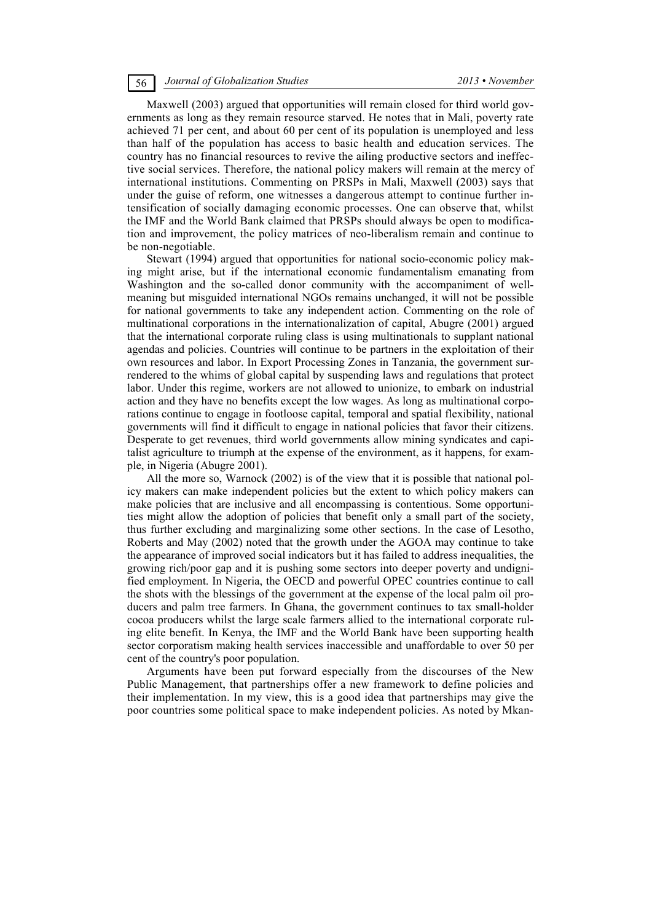Maxwell (2003) argued that opportunities will remain closed for third world governments as long as they remain resource starved. He notes that in Mali, poverty rate achieved 71 per cent, and about 60 per cent of its population is unemployed and less than half of the population has access to basic health and education services. The country has no financial resources to revive the ailing productive sectors and ineffective social services. Therefore, the national policy makers will remain at the mercy of international institutions. Commenting on PRSPs in Mali, Maxwell (2003) says that under the guise of reform, one witnesses a dangerous attempt to continue further intensification of socially damaging economic processes. One can observe that, whilst the IMF and the World Bank claimed that PRSPs should always be open to modification and improvement, the policy matrices of neo-liberalism remain and continue to be non-negotiable.

Stewart (1994) argued that opportunities for national socio-economic policy making might arise, but if the international economic fundamentalism emanating from Washington and the so-called donor community with the accompaniment of wellmeaning but misguided international NGOs remains unchanged, it will not be possible for national governments to take any independent action. Commenting on the role of multinational corporations in the internationalization of capital, Abugre (2001) argued that the international corporate ruling class is using multinationals to supplant national agendas and policies. Countries will continue to be partners in the exploitation of their own resources and labor. In Export Processing Zones in Tanzania, the government surrendered to the whims of global capital by suspending laws and regulations that protect labor. Under this regime, workers are not allowed to unionize, to embark on industrial action and they have no benefits except the low wages. As long as multinational corporations continue to engage in footloose capital, temporal and spatial flexibility, national governments will find it difficult to engage in national policies that favor their citizens. Desperate to get revenues, third world governments allow mining syndicates and capitalist agriculture to triumph at the expense of the environment, as it happens, for example, in Nigeria (Abugre 2001).

All the more so, Warnock (2002) is of the view that it is possible that national policy makers can make independent policies but the extent to which policy makers can make policies that are inclusive and all encompassing is contentious. Some opportunities might allow the adoption of policies that benefit only a small part of the society, thus further excluding and marginalizing some other sections. In the case of Lesotho, Roberts and May (2002) noted that the growth under the AGOA may continue to take the appearance of improved social indicators but it has failed to address inequalities, the growing rich/poor gap and it is pushing some sectors into deeper poverty and undignified employment. In Nigeria, the OECD and powerful OPEC countries continue to call the shots with the blessings of the government at the expense of the local palm oil producers and palm tree farmers. In Ghana, the government continues to tax small-holder cocoa producers whilst the large scale farmers allied to the international corporate ruling elite benefit. In Kenya, the IMF and the World Bank have been supporting health sector corporatism making health services inaccessible and unaffordable to over 50 per cent of the country's poor population.

Arguments have been put forward especially from the discourses of the New Public Management, that partnerships offer a new framework to define policies and their implementation. In my view, this is a good idea that partnerships may give the poor countries some political space to make independent policies. As noted by Mkan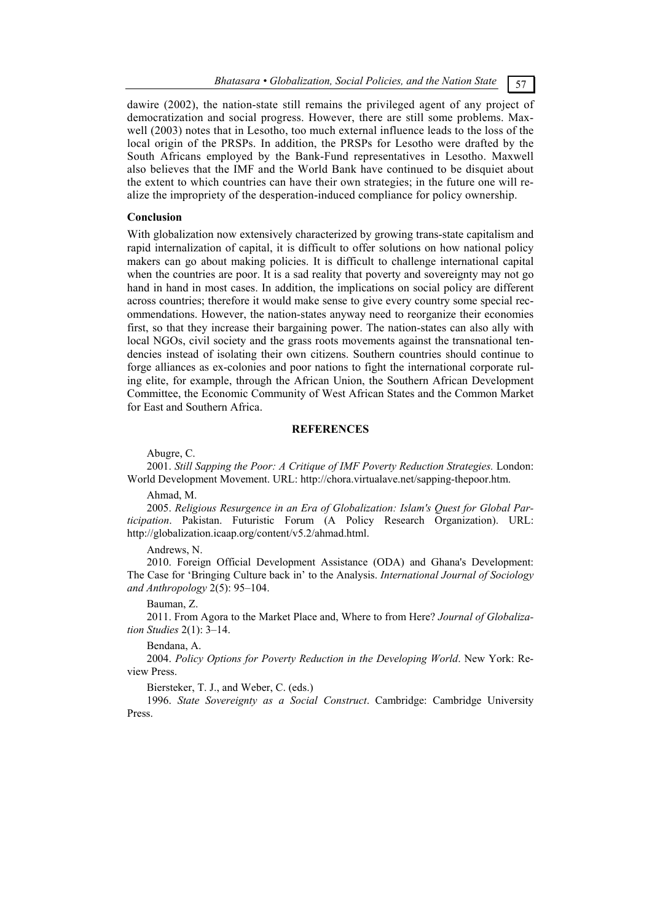*Bhatasara • Globalization, Social Policies, and the Nation State* 57

dawire (2002), the nation-state still remains the privileged agent of any project of democratization and social progress. However, there are still some problems. Maxwell (2003) notes that in Lesotho, too much external influence leads to the loss of the local origin of the PRSPs. In addition, the PRSPs for Lesotho were drafted by the South Africans employed by the Bank-Fund representatives in Lesotho. Maxwell also believes that the IMF and the World Bank have continued to be disquiet about the extent to which countries can have their own strategies; in the future one will realize the impropriety of the desperation-induced compliance for policy ownership.

# **Conclusion**

With globalization now extensively characterized by growing trans-state capitalism and rapid internalization of capital, it is difficult to offer solutions on how national policy makers can go about making policies. It is difficult to challenge international capital when the countries are poor. It is a sad reality that poverty and sovereignty may not go hand in hand in most cases. In addition, the implications on social policy are different across countries; therefore it would make sense to give every country some special recommendations. However, the nation-states anyway need to reorganize their economies first, so that they increase their bargaining power. The nation-states can also ally with local NGOs, civil society and the grass roots movements against the transnational tendencies instead of isolating their own citizens. Southern countries should continue to forge alliances as ex-colonies and poor nations to fight the international corporate ruling elite, for example, through the African Union, the Southern African Development Committee, the Economic Community of West African States and the Common Market for East and Southern Africa.

#### **REFERENCES**

Abugre, C.

2001. *Still Sapping the Poor: A Critique of IMF Poverty Reduction Strategies.* London: World Development Movement. URL: http://chora.virtualave.net/sapping-thepoor.htm.

Ahmad, M.

2005. *Religious Resurgence in an Era of Globalization: Islam's Quest for Global Participation*. Pakistan. Futuristic Forum (A Policy Research Organization). URL: http://globalization.icaap.org/content/v5.2/ahmad.html.

#### Andrews, N.

2010. Foreign Official Development Assistance (ODA) and Ghana's Development: The Case for 'Bringing Culture back in' to the Analysis. *International Journal of Sociology and Anthropology* 2(5): 95–104.

Bauman, Z.

2011. From Agora to the Market Place and, Where to from Here? *Journal of Globalization Studies* 2(1): 3–14.

Bendana, A.

2004. *Policy Options for Poverty Reduction in the Developing World*. New York: Review Press.

Biersteker, T. J., and Weber, C. (eds.)

1996. *State Sovereignty as a Social Construct*. Cambridge: Cambridge University Press.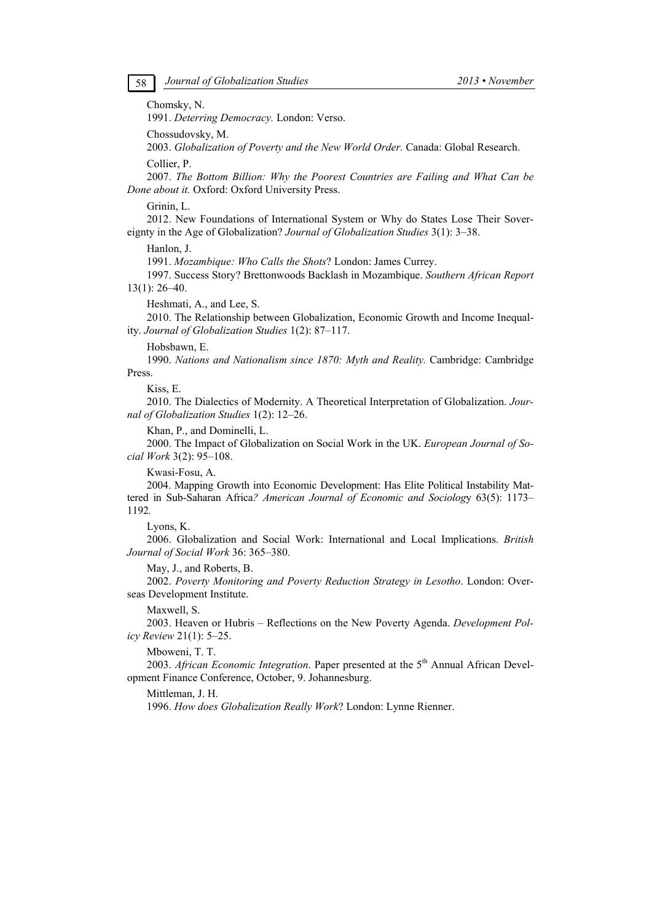Chomsky, N.

1991. *Deterring Democracy.* London: Verso.

Chossudovsky, M.

2003. *Globalization of Poverty and the New World Order.* Canada: Global Research. Collier, P.

2007. *The Bottom Billion: Why the Poorest Countries are Failing and What Can be Done about it.* Oxford: Oxford University Press.

Grinin, L.

2012. New Foundations of International System or Why do States Lose Their Sovereignty in the Age of Globalization? *Journal of Globalization Studies* 3(1): 3–38.

Hanlon, J.

1991. *Mozambique: Who Calls the Shots*? London: James Currey.

1997. Success Story? Brettonwoods Backlash in Mozambique. *Southern African Report*  13(1): 26–40.

Heshmati, A., and Lee, S.

2010. The Relationship between Globalization, Economic Growth and Income Inequality. *Journal of Globalization Studies* 1(2): 87–117.

Hobsbawn, E.

1990. *Nations and Nationalism since 1870: Myth and Reality.* Cambridge: Cambridge Press.

Kiss, E.

2010. The Dialectics of Modernity. A Theoretical Interpretation of Globalization. *Journal of Globalization Studies* 1(2): 12–26.

Khan, P., and Dominelli, L.

2000. The Impact of Globalization on Social Work in the UK. *European Journal of Social Work* 3(2): 95–108.

Kwasi-Fosu, A.

2004. Mapping Growth into Economic Development: Has Elite Political Instability Mattered in Sub-Saharan Africa*? American Journal of Economic and Sociolog*y 63(5): 1173– 1192*.*

Lyons, K.

2006. Globalization and Social Work: International and Local Implications. *British Journal of Social Work* 36: 365–380.

May, J., and Roberts, B.

2002. *Poverty Monitoring and Poverty Reduction Strategy in Lesotho*. London: Overseas Development Institute.

Maxwell, S.

2003. Heaven or Hubris – Reflections on the New Poverty Agenda. *Development Policy Review* 21(1): 5–25.

Mboweni, T. T.

2003. *African Economic Integration*. Paper presented at the 5<sup>th</sup> Annual African Development Finance Conference, October, 9. Johannesburg.

Mittleman, J. H.

1996. *How does Globalization Really Work*? London: Lynne Rienner.